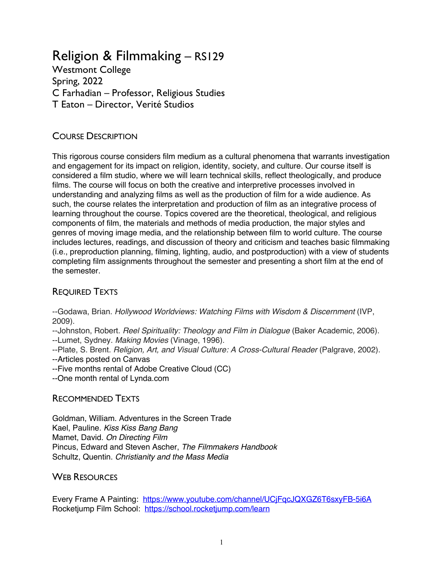# Religion & Filmmaking – RS129

Westmont College Spring, 2022 C Farhadian – Professor, Religious Studies T Eaton – Director, Verité Studios

#### COURSE DESCRIPTION

This rigorous course considers film medium as a cultural phenomena that warrants investigation and engagement for its impact on religion, identity, society, and culture. Our course itself is considered a film studio, where we will learn technical skills, reflect theologically, and produce films. The course will focus on both the creative and interpretive processes involved in understanding and analyzing films as well as the production of film for a wide audience. As such, the course relates the interpretation and production of film as an integrative process of learning throughout the course. Topics covered are the theoretical, theological, and religious components of film, the materials and methods of media production, the major styles and genres of moving image media, and the relationship between film to world culture. The course includes lectures, readings, and discussion of theory and criticism and teaches basic filmmaking (i.e., preproduction planning, filming, lighting, audio, and postproduction) with a view of students completing film assignments throughout the semester and presenting a short film at the end of the semester.

#### REQUIRED TEXTS

--Godawa, Brian. *Hollywood Worldviews: Watching Films with Wisdom & Discernment* (IVP, 2009).

--Johnston, Robert. *Reel Spirituality: Theology and Film in Dialogue* (Baker Academic, 2006). --Lumet, Sydney. *Making Movies* (Vinage, 1996).

--Plate, S. Brent. *Religion, Art, and Visual Culture: A Cross-Cultural Reader* (Palgrave, 2002).

--Articles posted on Canvas

--Five months rental of Adobe Creative Cloud (CC)

--One month rental of Lynda.com

#### RECOMMENDED TEXTS

Goldman, William. Adventures in the Screen Trade Kael, Pauline. *Kiss Kiss Bang Bang* Mamet, David. *On Directing Film* Pincus, Edward and Steven Ascher, *The Filmmakers Handbook* Schultz, Quentin. *Christianity and the Mass Media*

#### WEB RESOURCES

Every Frame A Painting: https://www.youtube.com/channel/UCjFqcJQXGZ6T6sxyFB-5i6A Rocketjump Film School: https://school.rocketjump.com/learn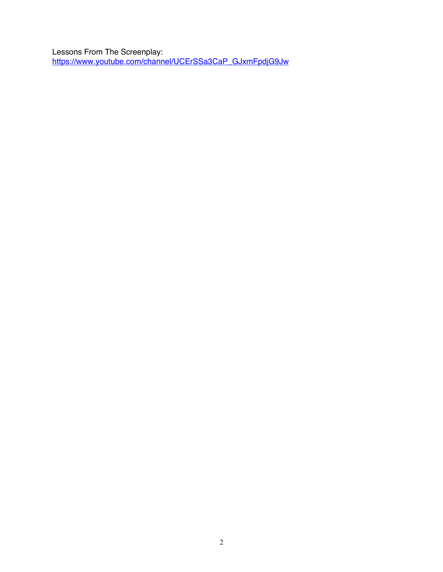Lessons From The Screenplay: https://www.youtube.com/channel/UCErSSa3CaP\_GJxmFpdjG9Jw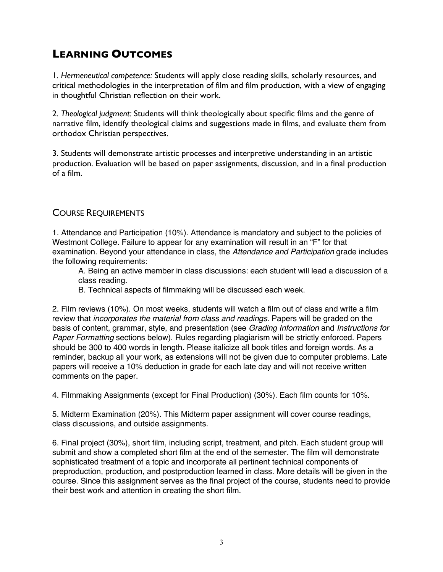# **LEARNING OUTCOMES**

1. *Hermeneutical competence:* Students will apply close reading skills, scholarly resources, and critical methodologies in the interpretation of film and film production, with a view of engaging in thoughtful Christian reflection on their work.

2. *Theological judgment:* Students will think theologically about specific films and the genre of narrative film, identify theological claims and suggestions made in films, and evaluate them from orthodox Christian perspectives.

3. Students will demonstrate artistic processes and interpretive understanding in an artistic production. Evaluation will be based on paper assignments, discussion, and in a final production of a film.

#### COURSE REQUIREMENTS

1. Attendance and Participation (10%). Attendance is mandatory and subject to the policies of Westmont College. Failure to appear for any examination will result in an "F" for that examination. Beyond your attendance in class, the *Attendance and Participation* grade includes the following requirements:

A. Being an active member in class discussions: each student will lead a discussion of a class reading.

B. Technical aspects of filmmaking will be discussed each week.

2. Film reviews (10%). On most weeks, students will watch a film out of class and write a film review that *incorporates the material from class and readings*. Papers will be graded on the basis of content, grammar, style, and presentation (see *Grading Information* and *Instructions for Paper Formatting* sections below). Rules regarding plagiarism will be strictly enforced. Papers should be 300 to 400 words in length. Please italicize all book titles and foreign words. As a reminder, backup all your work, as extensions will not be given due to computer problems. Late papers will receive a 10% deduction in grade for each late day and will not receive written comments on the paper.

4. Filmmaking Assignments (except for Final Production) (30%). Each film counts for 10%.

5. Midterm Examination (20%). This Midterm paper assignment will cover course readings, class discussions, and outside assignments.

6. Final project (30%), short film, including script, treatment, and pitch. Each student group will submit and show a completed short film at the end of the semester. The film will demonstrate sophisticated treatment of a topic and incorporate all pertinent technical components of preproduction, production, and postproduction learned in class. More details will be given in the course. Since this assignment serves as the final project of the course, students need to provide their best work and attention in creating the short film.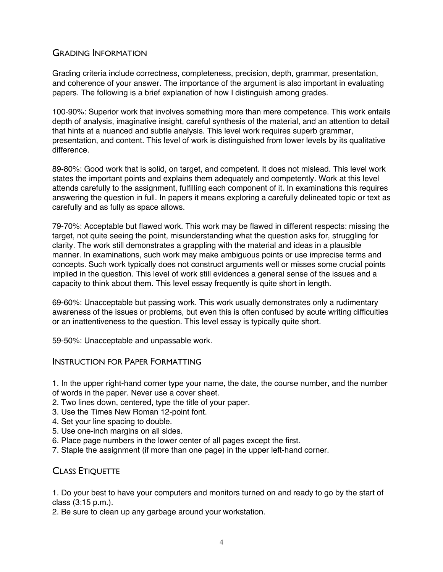#### GRADING INFORMATION

Grading criteria include correctness, completeness, precision, depth, grammar, presentation, and coherence of your answer. The importance of the argument is also important in evaluating papers. The following is a brief explanation of how I distinguish among grades.

100-90%: Superior work that involves something more than mere competence. This work entails depth of analysis, imaginative insight, careful synthesis of the material, and an attention to detail that hints at a nuanced and subtle analysis. This level work requires superb grammar, presentation, and content. This level of work is distinguished from lower levels by its qualitative difference.

89-80%: Good work that is solid, on target, and competent. It does not mislead. This level work states the important points and explains them adequately and competently. Work at this level attends carefully to the assignment, fulfilling each component of it. In examinations this requires answering the question in full. In papers it means exploring a carefully delineated topic or text as carefully and as fully as space allows.

79-70%: Acceptable but flawed work. This work may be flawed in different respects: missing the target, not quite seeing the point, misunderstanding what the question asks for, struggling for clarity. The work still demonstrates a grappling with the material and ideas in a plausible manner. In examinations, such work may make ambiguous points or use imprecise terms and concepts. Such work typically does not construct arguments well or misses some crucial points implied in the question. This level of work still evidences a general sense of the issues and a capacity to think about them. This level essay frequently is quite short in length.

69-60%: Unacceptable but passing work. This work usually demonstrates only a rudimentary awareness of the issues or problems, but even this is often confused by acute writing difficulties or an inattentiveness to the question. This level essay is typically quite short.

59-50%: Unacceptable and unpassable work.

#### INSTRUCTION FOR PAPER FORMATTING

1. In the upper right-hand corner type your name, the date, the course number, and the number of words in the paper. Never use a cover sheet.

- 2. Two lines down, centered, type the title of your paper.
- 3. Use the Times New Roman 12-point font.
- 4. Set your line spacing to double.
- 5. Use one-inch margins on all sides.
- 6. Place page numbers in the lower center of all pages except the first.
- 7. Staple the assignment (if more than one page) in the upper left-hand corner.

#### CLASS ETIQUETTE

1. Do your best to have your computers and monitors turned on and ready to go by the start of class (3:15 p.m.).

2. Be sure to clean up any garbage around your workstation.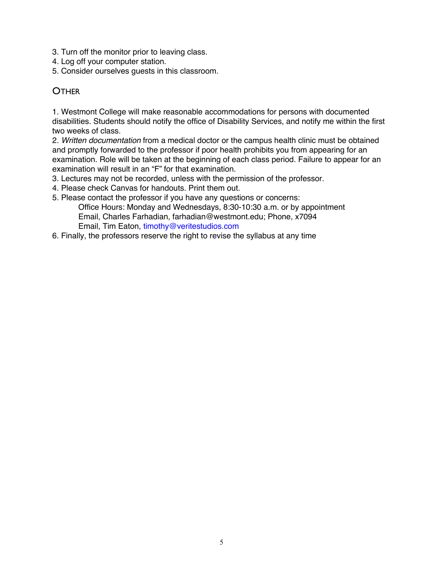- 3. Turn off the monitor prior to leaving class.
- 4. Log off your computer station.
- 5. Consider ourselves guests in this classroom.

#### **OTHER**

1. Westmont College will make reasonable accommodations for persons with documented disabilities. Students should notify the office of Disability Services, and notify me within the first two weeks of class.

2. *Written documentation* from a medical doctor or the campus health clinic must be obtained and promptly forwarded to the professor if poor health prohibits you from appearing for an examination. Role will be taken at the beginning of each class period. Failure to appear for an examination will result in an "F" for that examination.

- 3. Lectures may not be recorded, unless with the permission of the professor.
- 4. Please check Canvas for handouts. Print them out.
- 5. Please contact the professor if you have any questions or concerns: Office Hours: Monday and Wednesdays, 8:30-10:30 a.m. or by appointment Email, Charles Farhadian, farhadian@westmont.edu; Phone, x7094 Email, Tim Eaton, timothy@veritestudios.com
- 6. Finally, the professors reserve the right to revise the syllabus at any time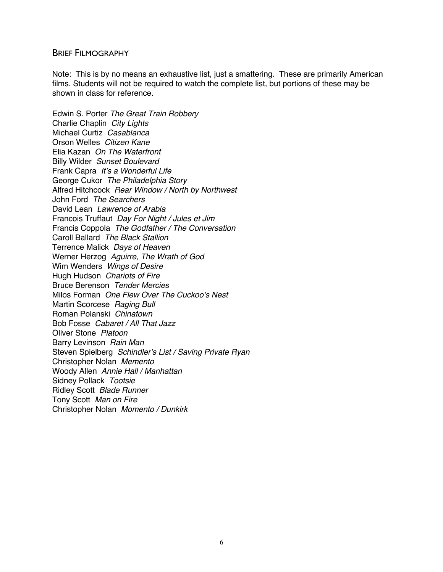#### BRIEF FILMOGRAPHY

Note: This is by no means an exhaustive list, just a smattering. These are primarily American films. Students will not be required to watch the complete list, but portions of these may be shown in class for reference.

Edwin S. Porter *The Great Train Robbery* Charlie Chaplin *City Lights* Michael Curtiz *Casablanca* Orson Welles *Citizen Kane* Elia Kazan *On The Waterfront* Billy Wilder *Sunset Boulevard* Frank Capra *It's a Wonderful Life* George Cukor *The Philadelphia Story* Alfred Hitchcock *Rear Window / North by Northwest* John Ford *The Searchers* David Lean *Lawrence of Arabia* Francois Truffaut *Day For Night / Jules et Jim* Francis Coppola *The Godfather / The Conversation* Caroll Ballard *The Black Stallion* Terrence Malick *Days of Heaven* Werner Herzog *Aguirre, The Wrath of God* Wim Wenders *Wings of Desire* Hugh Hudson *Chariots of Fire* Bruce Berenson *Tender Mercies* Milos Forman *One Flew Over The Cuckoo's Nest* Martin Scorcese *Raging Bull* Roman Polanski *Chinatown* Bob Fosse *Cabaret / All That Jazz* Oliver Stone *Platoon* Barry Levinson *Rain Man* Steven Spielberg *Schindler's List / Saving Private Ryan* Christopher Nolan *Memento* Woody Allen *Annie Hall / Manhattan* Sidney Pollack *Tootsie* Ridley Scott *Blade Runner* Tony Scott *Man on Fire* Christopher Nolan *Momento / Dunkirk*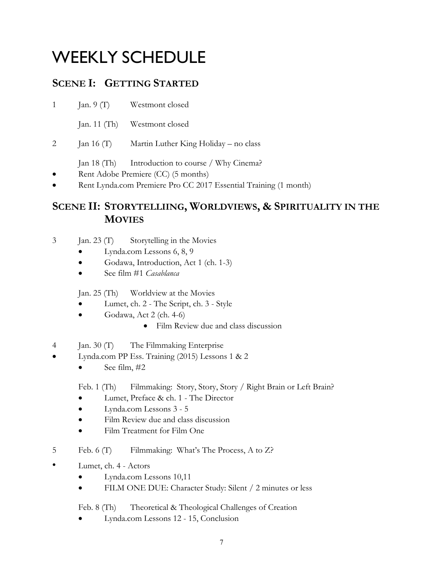# WEEKLY SCHEDULE

## **SCENE I: GETTING STARTED**

1 Jan. 9 (T) Westmont closed

Jan. 11 (Th) Westmont closed

- 2 Jan 16 (T) Martin Luther King Holiday no class
	- Jan 18 (Th) Introduction to course / Why Cinema?
- Rent Adobe Premiere (CC) (5 months)
- Rent Lynda.com Premiere Pro CC 2017 Essential Training (1 month)

### **SCENE II: STORYTELLIING, WORLDVIEWS, & SPIRITUALITY IN THE MOVIES**

- 3 Jan. 23 (T) Storytelling in the Movies
	- Lynda.com Lessons 6, 8, 9
	- Godawa, Introduction, Act 1 (ch. 1-3)
	- See film #1 *Casablanca*

Jan. 25 (Th) Worldview at the Movies

- Lumet, ch. 2 The Script, ch. 3 Style
- Godawa, Act 2 (ch. 4-6)
	- Film Review due and class discussion
- 4 Jan. 30 (T) The Filmmaking Enterprise
- Lynda.com PP Ess. Training (2015) Lessons 1 & 2
	- See film,  $\#2$

Feb. 1 (Th) Filmmaking: Story, Story, Story / Right Brain or Left Brain?

- Lumet, Preface & ch. 1 The Director
- Lynda.com Lessons 3 5
- Film Review due and class discussion
- Film Treatment for Film One
- 5 Feb. 6 (T) Filmmaking: What's The Process, A to Z?
- Lumet, ch. 4 Actors
	- Lynda.com Lessons 10,11
	- FILM ONE DUE: Character Study: Silent / 2 minutes or less

Feb. 8 (Th) Theoretical & Theological Challenges of Creation

• Lynda.com Lessons 12 - 15, Conclusion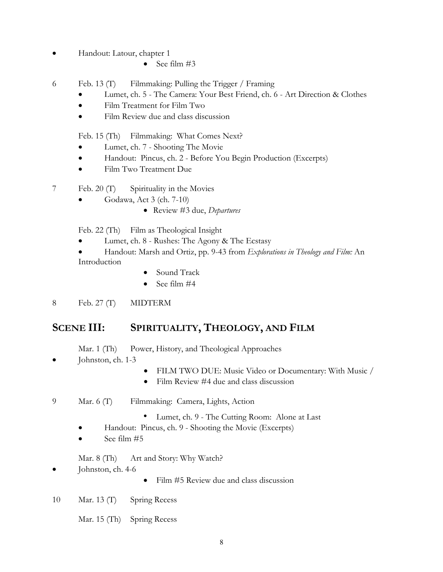- Handout: Latour, chapter 1
	- See film  $#3$
- 6 Feb. 13 (T) Filmmaking: Pulling the Trigger / Framing
	- Lumet, ch. 5 The Camera: Your Best Friend, ch. 6 Art Direction & Clothes
	- Film Treatment for Film Two
	- Film Review due and class discussion

Feb. 15 (Th) Filmmaking: What Comes Next?

- Lumet, ch. 7 Shooting The Movie
- Handout: Pincus, ch. 2 Before You Begin Production (Excerpts)
- Film Two Treatment Due
- 7 Feb. 20 (T) Spirituality in the Movies
	- Godawa, Act  $3$  (ch.  $7-10$ )
		- Review #3 due, *Departures*

Feb. 22 (Th) Film as Theological Insight

- Lumet, ch. 8 Rushes: The Agony & The Ecstasy
- Handout: Marsh and Ortiz, pp. 9-43 from *Explorations in Theology and Film:* An Introduction
	- Sound Track
	- See film #4
- 8 Feb. 27 (T) MIDTERM

#### **SCENE III: SPIRITUALITY, THEOLOGY, AND FILM**

- Mar. 1 (Th) Power, History, and Theological Approaches
- Johnston, ch. 1-3
	- FILM TWO DUE: Music Video or Documentary: With Music /
	- Film Review #4 due and class discussion
- 9 Mar. 6 (T) Filmmaking: Camera, Lights, Action
	- Lumet, ch. 9 The Cutting Room: Alone at Last
	- Handout: Pincus, ch. 9 Shooting the Movie (Excerpts)
	- See film  $#5$
	- Mar. 8 (Th) Art and Story: Why Watch?
- Johnston, ch. 4-6
	- Film #5 Review due and class discussion
- 10 Mar. 13 (T) Spring Recess
	- Mar. 15 (Th) Spring Recess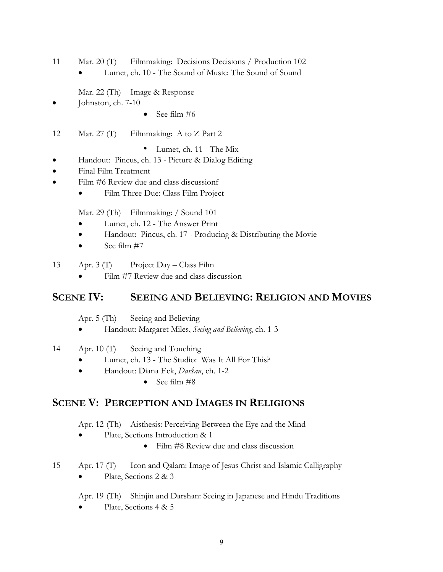- 11 Mar. 20 (T) Filmmaking: Decisions Decisions / Production 102
	- Lumet, ch. 10 The Sound of Music: The Sound of Sound
	- Mar. 22 (Th) Image & Response
- Johnston, ch. 7-10
	- See film #6
- 12 Mar. 27 (T) Filmmaking: A to Z Part 2
	- Lumet, ch. 11 The Mix
- Handout: Pincus, ch. 13 Picture & Dialog Editing
- Final Film Treatment
- Film #6 Review due and class discussionf
	- Film Three Due: Class Film Project

Mar. 29 (Th) Filmmaking: / Sound 101

- Lumet, ch. 12 The Answer Print
- Handout: Pincus, ch. 17 Producing & Distributing the Movie
- See film  $#7$
- 13 Apr. 3 (T) Project Day Class Film
	- Film #7 Review due and class discussion

#### **SCENE IV: SEEING AND BELIEVING: RELIGION AND MOVIES**

- Apr. 5 (Th) Seeing and Believing
- Handout: Margaret Miles, *Seeing and Believing*, ch. 1-3
- 14 Apr. 10 (T) Seeing and Touching
	- Lumet, ch. 13 The Studio: Was It All For This?
	- Handout: Diana Eck, *Darśan*, ch. 1-2
		- See film #8

#### **SCENE V: PERCEPTION AND IMAGES IN RELIGIONS**

- Apr. 12 (Th) Aisthesis: Perceiving Between the Eye and the Mind
- Plate, Sections Introduction & 1
	- Film #8 Review due and class discussion
- 15 Apr. 17 (T) Icon and Qalam: Image of Jesus Christ and Islamic Calligraphy Plate, Sections 2 & 3
	- Apr. 19 (Th) Shinjin and Darshan: Seeing in Japanese and Hindu Traditions
	- Plate, Sections 4 & 5